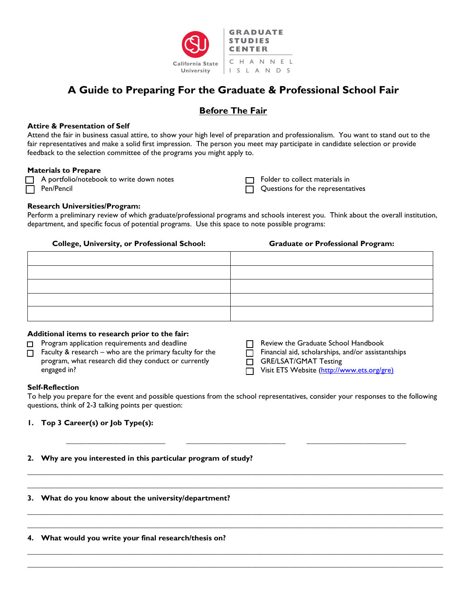

# **A Guide to Preparing For the Graduate & Professional School Fair**

# **Before The Fair**

#### **Attire & Presentation of Self**

Attend the fair in business casual attire, to show your high level of preparation and professionalism. You want to stand out to the fair representatives and make a solid first impression. The person you meet may participate in candidate selection or provide feedback to the selection committee of the programs you might apply to.

#### **Materials to Prepare**

- A portfolio/notebook to write down notes
- □ Pen/Pencil

**T** Folder to collect materials in Questions for the representatives

### **Research Universities/Program:**

Perform a preliminary review of which graduate/professional programs and schools interest you. Think about the overall institution, department, and specific focus of potential programs. Use this space to note possible programs:

#### **College, University, or Professional School: Graduate or Professional Program:**

#### **Additional items to research prior to the fair:**

- □ Program application requirements and deadline
- $\Box$  Faculty & research who are the primary faculty for the program, what research did they conduct or currently engaged in?
- Review the Graduate School Handbook
- $\overline{\Box}$  Financial aid, scholarships, and/or assistantships

GRE/LSAT/GMAT Testing

□ Visit ETS Website [\(http://www.ets.org/gre\)](http://www.ets.org/gre)

#### **Self-Reflection**

To help you prepare for the event and possible questions from the school representatives, consider your responses to the following questions, think of 2-3 talking points per question:

**\_\_\_\_\_\_\_\_\_\_\_\_\_\_\_\_\_\_\_\_\_\_\_\_\_\_ \_\_\_\_\_\_\_\_\_\_\_\_\_\_\_\_\_\_\_\_\_\_\_\_\_\_ \_\_\_\_\_\_\_\_\_\_\_\_\_\_\_\_\_\_\_\_\_\_\_\_\_\_**

**\_\_\_\_\_\_\_\_\_\_\_\_\_\_\_\_\_\_\_\_\_\_\_\_\_\_\_\_\_\_\_\_\_\_\_\_\_\_\_\_\_\_\_\_\_\_\_\_\_\_\_\_\_\_\_\_\_\_\_\_\_\_\_\_\_\_\_\_\_\_\_\_\_\_\_\_\_\_\_\_\_\_\_\_\_\_\_\_\_\_\_\_\_\_\_\_\_\_\_\_\_\_\_\_\_\_\_\_\_ \_\_\_\_\_\_\_\_\_\_\_\_\_\_\_\_\_\_\_\_\_\_\_\_\_\_\_\_\_\_\_\_\_\_\_\_\_\_\_\_\_\_\_\_\_\_\_\_\_\_\_\_\_\_\_\_\_\_\_\_\_\_\_\_\_\_\_\_\_\_\_\_\_\_\_\_\_\_\_\_\_\_\_\_\_\_\_\_\_\_\_\_\_\_\_\_\_\_\_\_\_\_\_\_\_\_\_\_\_**

**\_\_\_\_\_\_\_\_\_\_\_\_\_\_\_\_\_\_\_\_\_\_\_\_\_\_\_\_\_\_\_\_\_\_\_\_\_\_\_\_\_\_\_\_\_\_\_\_\_\_\_\_\_\_\_\_\_\_\_\_\_\_\_\_\_\_\_\_\_\_\_\_\_\_\_\_\_\_\_\_\_\_\_\_\_\_\_\_\_\_\_\_\_\_\_\_\_\_\_\_\_\_\_\_\_\_\_\_\_ \_\_\_\_\_\_\_\_\_\_\_\_\_\_\_\_\_\_\_\_\_\_\_\_\_\_\_\_\_\_\_\_\_\_\_\_\_\_\_\_\_\_\_\_\_\_\_\_\_\_\_\_\_\_\_\_\_\_\_\_\_\_\_\_\_\_\_\_\_\_\_\_\_\_\_\_\_\_\_\_\_\_\_\_\_\_\_\_\_\_\_\_\_\_\_\_\_\_\_\_\_\_\_\_\_\_\_\_\_**

**\_\_\_\_\_\_\_\_\_\_\_\_\_\_\_\_\_\_\_\_\_\_\_\_\_\_\_\_\_\_\_\_\_\_\_\_\_\_\_\_\_\_\_\_\_\_\_\_\_\_\_\_\_\_\_\_\_\_\_\_\_\_\_\_\_\_\_\_\_\_\_\_\_\_\_\_\_\_\_\_\_\_\_\_\_\_\_\_\_\_\_\_\_\_\_\_\_\_\_\_\_\_\_\_\_\_\_\_\_ \_\_\_\_\_\_\_\_\_\_\_\_\_\_\_\_\_\_\_\_\_\_\_\_\_\_\_\_\_\_\_\_\_\_\_\_\_\_\_\_\_\_\_\_\_\_\_\_\_\_\_\_\_\_\_\_\_\_\_\_\_\_\_\_\_\_\_\_\_\_\_\_\_\_\_\_\_\_\_\_\_\_\_\_\_\_\_\_\_\_\_\_\_\_\_\_\_\_\_\_\_\_\_\_\_\_\_\_\_**

## **1. Top 3 Career(s) or Job Type(s):**

### **2. Why are you interested in this particular program of study?**

#### **3. What do you know about the university/department?**

#### **4. What would you write your final research/thesis on?**